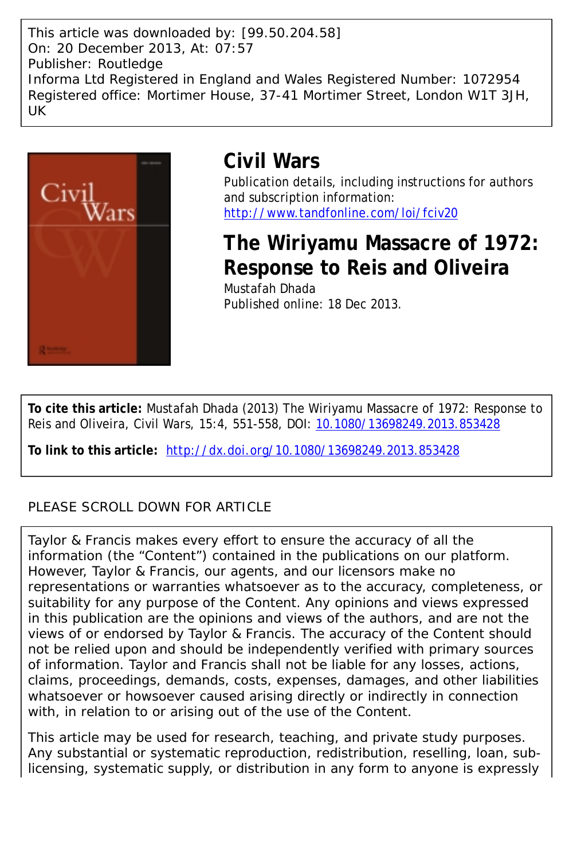This article was downloaded by: [99.50.204.58] On: 20 December 2013, At: 07:57 Publisher: Routledge Informa Ltd Registered in England and Wales Registered Number: 1072954 Registered office: Mortimer House, 37-41 Mortimer Street, London W1T 3JH, UK



# **Civil Wars**

Publication details, including instructions for authors and subscription information: <http://www.tandfonline.com/loi/fciv20>

**The Wiriyamu Massacre of 1972: Response to Reis and Oliveira** Mustafah Dhada Published online: 18 Dec 2013.

**To cite this article:** Mustafah Dhada (2013) The Wiriyamu Massacre of 1972: Response to Reis and Oliveira, Civil Wars, 15:4, 551-558, DOI: [10.1080/13698249.2013.853428](http://www.tandfonline.com/action/showCitFormats?doi=10.1080/13698249.2013.853428)

**To link to this article:** <http://dx.doi.org/10.1080/13698249.2013.853428>

## PLEASE SCROLL DOWN FOR ARTICLE

Taylor & Francis makes every effort to ensure the accuracy of all the information (the "Content") contained in the publications on our platform. However, Taylor & Francis, our agents, and our licensors make no representations or warranties whatsoever as to the accuracy, completeness, or suitability for any purpose of the Content. Any opinions and views expressed in this publication are the opinions and views of the authors, and are not the views of or endorsed by Taylor & Francis. The accuracy of the Content should not be relied upon and should be independently verified with primary sources of information. Taylor and Francis shall not be liable for any losses, actions, claims, proceedings, demands, costs, expenses, damages, and other liabilities whatsoever or howsoever caused arising directly or indirectly in connection with, in relation to or arising out of the use of the Content.

This article may be used for research, teaching, and private study purposes. Any substantial or systematic reproduction, redistribution, reselling, loan, sublicensing, systematic supply, or distribution in any form to anyone is expressly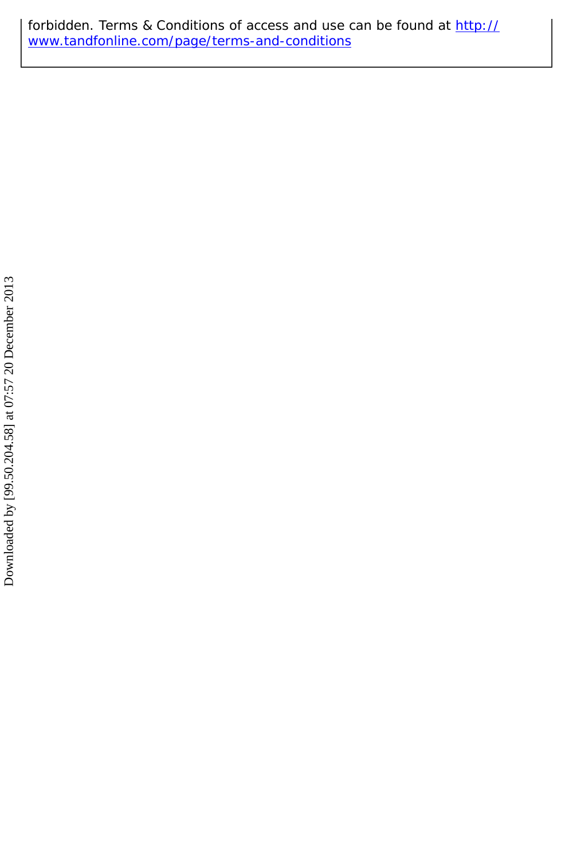forbidden. Terms & Conditions of access and use can be found at [http://](http://www.tandfonline.com/page/terms-and-conditions) [www.tandfonline.com/page/terms-and-conditions](http://www.tandfonline.com/page/terms-and-conditions)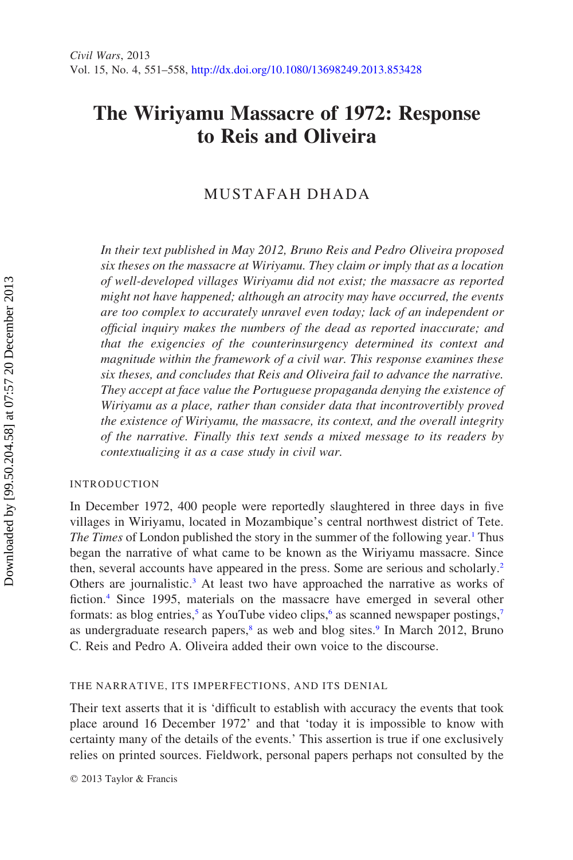## The Wiriyamu Massacre of 1972: Response to Reis and Oliveira

### MUSTAFAH DHADA

In their text published in May 2012, Bruno Reis and Pedro Oliveira proposed six theses on the massacre at Wiriyamu. They claim or imply that as a location of well-developed villages Wiriyamu did not exist; the massacre as reported might not have happened; although an atrocity may have occurred, the events are too complex to accurately unravel even today; lack of an independent or official inquiry makes the numbers of the dead as reported inaccurate; and that the exigencies of the counterinsurgency determined its context and magnitude within the framework of a civil war. This response examines these six theses, and concludes that Reis and Oliveira fail to advance the narrative. They accept at face value the Portuguese propaganda denying the existence of Wiriyamu as a place, rather than consider data that incontrovertibly proved the existence of Wiriyamu, the massacre, its context, and the overall integrity of the narrative. Finally this text sends a mixed message to its readers by contextualizing it as a case study in civil war.

#### INTRODUCTION

In December 1972, 400 people were reportedly slaughtered in three days in five villages in Wiriyamu, located in Mozambique's central northwest district of Tete. The Times of London published the story in the summer of the following year.<sup>1</sup> [Thus](#page-8-0) [began the narrative of what came to be known as the Wiriyamu massacre. Since](#page-8-0) [then, several accounts have appeared in the press. Some are serious and scholarly.](#page-8-0)[2](#page-8-1) [Others are journalistic.](#page-8-1)<sup>[3](#page-8-2)</sup> [At least two have approached the narrative as works of](#page-8-2) [fiction.](#page-8-2)[4](#page-8-3) [Since 1995, materials on the massacre have emerged in several other](#page-8-3) [formats: as blog entries,](#page-8-3)<sup>[5](#page-8-4)</sup> [as YouTube video clips,](#page-8-4)<sup>[6](#page-8-5)</sup> [as scanned newspaper postings,](#page-8-5)<sup>[7](#page-8-6)</sup> [as undergraduate research papers,](#page-8-6)<sup>[8](#page-8-7)</sup> [as web and blog sites.](#page-8-7)<sup>[9](#page-9-0)</sup> [In March 2012, Bruno](#page-9-0) [C. Reis and Pedro A. Oliveira added their own voice to the discourse.](#page-9-0)

#### THE NARRATIVE, ITS IMPERFECTIONS, AND ITS DENIAL

Their text asserts that it is 'difficult to establish with accuracy the events that took place around 16 December 1972' and that 'today it is impossible to know with certainty many of the details of the events.' This assertion is true if one exclusively relies on printed sources. Fieldwork, personal papers perhaps not consulted by the

*q* 2013 Taylor & Francis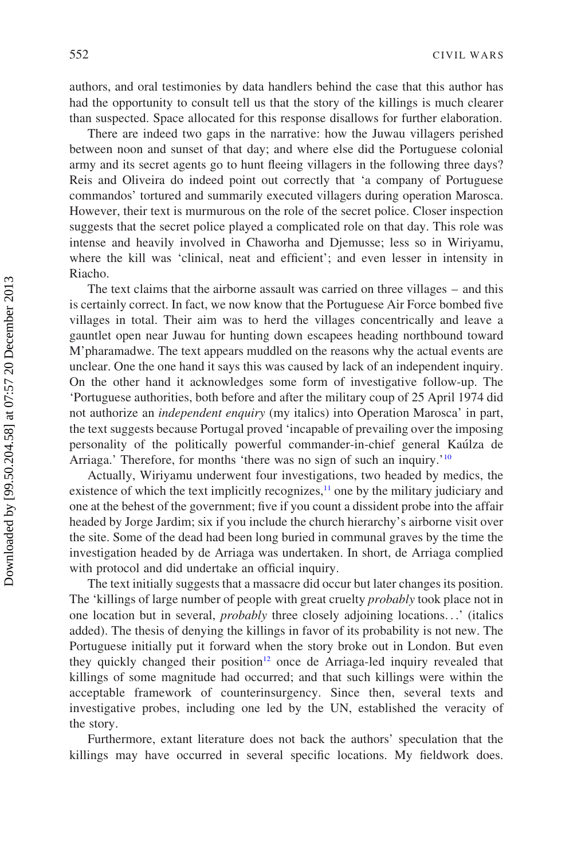authors, and oral testimonies by data handlers behind the case that this author has had the opportunity to consult tell us that the story of the killings is much clearer than suspected. Space allocated for this response disallows for further elaboration.

There are indeed two gaps in the narrative: how the Juwau villagers perished between noon and sunset of that day; and where else did the Portuguese colonial army and its secret agents go to hunt fleeing villagers in the following three days? Reis and Oliveira do indeed point out correctly that 'a company of Portuguese commandos' tortured and summarily executed villagers during operation Marosca. However, their text is murmurous on the role of the secret police. Closer inspection suggests that the secret police played a complicated role on that day. This role was intense and heavily involved in Chaworha and Djemusse; less so in Wiriyamu, where the kill was 'clinical, neat and efficient'; and even lesser in intensity in Riacho.

The text claims that the airborne assault was carried on three villages – and this is certainly correct. In fact, we now know that the Portuguese Air Force bombed five villages in total. Their aim was to herd the villages concentrically and leave a gauntlet open near Juwau for hunting down escapees heading northbound toward M'pharamadwe. The text appears muddled on the reasons why the actual events are unclear. One the one hand it says this was caused by lack of an independent inquiry. On the other hand it acknowledges some form of investigative follow-up. The 'Portuguese authorities, both before and after the military coup of 25 April 1974 did not authorize an independent enquiry (my italics) into Operation Marosca' in part, the text suggests because Portugal proved 'incapable of prevailing over the imposing personality of the politically powerful commander-in-chief general Kaúlza de Arriaga.' Therefore, for months 'there was no sign of such an inquiry.'<sup>10</sup>

Actually, Wiriyamu underwent four investigations, two headed by medics, the existence of which the text implicitly recognizes, $\frac{11}{10}$  $\frac{11}{10}$  $\frac{11}{10}$  [one by the military judiciary and](#page-9-2) [one at the behest of the government; five if you count a dissident probe into the affair](#page-9-2) [headed by Jorge Jardim; six if you include the church hierarchy's airborne visit over](#page-9-2) [the site. Some of the dead had been long buried in communal graves by the time the](#page-9-2) [investigation headed by de Arriaga was undertaken. In short, de Arriaga complied](#page-9-2) [with protocol and did undertake an official inquiry.](#page-9-2)

The text initially suggests that a massacre did occur but later changes its position. The 'killings of large number of people with great cruelty *probably* took place not in one location but in several, probably three closely adjoining locations...' (italics added). The thesis of denying the killings in favor of its probability is not new. The Portuguese initially put it forward when the story broke out in London. But even they quickly changed their position<sup>[12](#page-9-3)</sup> [once de Arriaga-led inquiry revealed that](#page-9-3) [killings of some magnitude had occurred; and that such killings were within the](#page-9-3) [acceptable framework of counterinsurgency. Since then, several texts and](#page-9-3) [investigative probes, including one led by the UN, established the veracity of](#page-9-3) [the story.](#page-9-3)

Furthermore, extant literature does not back the authors' speculation that the killings may have occurred in several specific locations. My fieldwork does.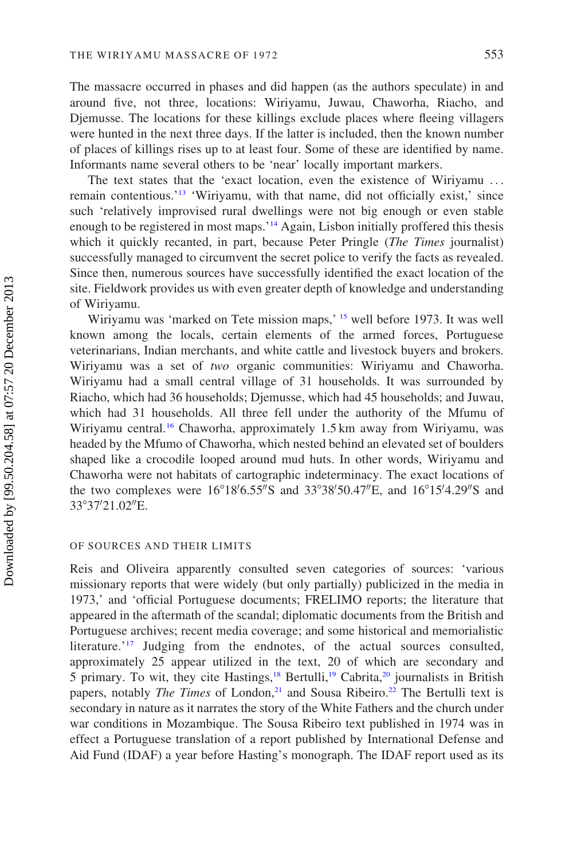The massacre occurred in phases and did happen (as the authors speculate) in and around five, not three, locations: Wiriyamu, Juwau, Chaworha, Riacho, and Djemusse. The locations for these killings exclude places where fleeing villagers were hunted in the next three days. If the latter is included, then the known number of places of killings rises up to at least four. Some of these are identified by name. Informants name several others to be 'near' locally important markers.

The text states that the 'exact location, even the existence of Wiriyamu ... remain contentious.'[13](#page-9-4) ['Wiriyamu, with that name, did not officially exist,' since](#page-9-4) [such 'relatively improvised rural dwellings were not big enough or even stable](#page-9-4) [enough to be registered in most maps.'](#page-9-4)[14](#page-9-5) Again, Lisbon initially proffered this thesis which it quickly recanted, in part, because Peter Pringle (The Times journalist) successfully managed to circumvent the secret police to verify the facts as revealed. Since then, numerous sources have successfully identified the exact location of the site. Fieldwork provides us with even greater depth of knowledge and understanding of Wiriyamu.

Wiriyamu was 'marked on Tete mission maps,' [15](#page-9-6) [well before 1973. It was well](#page-9-6) [known among the locals, certain elements of the armed forces, Portuguese](#page-9-6) [veterinarians, Indian merchants, and white cattle and livestock buyers and brokers.](#page-9-6) Wiriyamu was a set of two [organic communities: Wiriyamu and Chaworha.](#page-9-6) [Wiriyamu had a small central village of 31 households. It was surrounded by](#page-9-6) [Riacho, which had 36 households; Djemusse, which had 45 households; and Juwau,](#page-9-6) [which had 31 households. All three fell under the authority of the Mfumu of](#page-9-6) [Wiriyamu central.](#page-9-6)<sup>[16](#page-9-7)</sup> [Chaworha, approximately 1.5 km away from Wiriyamu, was](#page-9-7) [headed by the Mfumo of Chaworha, which nested behind an elevated set of boulders](#page-9-7) [shaped like a crocodile looped around mud huts. In other words, Wiriyamu and](#page-9-7) [Chaworha were not habitats of cartographic indeterminacy. The exact locations of](#page-9-7) the two complexes were  $16^{\circ}18'6.55''S$  $16^{\circ}18'6.55''S$  $16^{\circ}18'6.55''S$  and  $33^{\circ}38'50.47''E$  $33^{\circ}38'50.47''E$  $33^{\circ}38'50.47''E$ , and  $16^{\circ}15'4.29''S$  $16^{\circ}15'4.29''S$  $16^{\circ}15'4.29''S$  and [33](#page-9-7)°37′[21.02](#page-9-7)″[E.](#page-9-7)

#### OF SOURCES AND THEIR LIMITS

Reis and Oliveira apparently consulted seven categories of sources: 'various missionary reports that were widely (but only partially) publicized in the media in 1973,' and 'official Portuguese documents; FRELIMO reports; the literature that appeared in the aftermath of the scandal; diplomatic documents from the British and Portuguese archives; recent media coverage; and some historical and memorialistic literature.'<sup>17</sup> [Judging from the endnotes, of the actual sources consulted,](#page-9-8) [approximately 25 appear utilized in the text, 20 of which are secondary and](#page-9-8) [5 primary. To wit, they cite Hastings,](#page-9-8)<sup>[18](#page-9-9)</sup> [Bertulli,](#page-9-9)<sup>[19](#page-9-10)</sup> [Cabrita,](#page-9-10)<sup>[20](#page-9-11)</sup> [journalists in British](#page-9-11) [papers, notably](#page-9-11) *The Times* of London,<sup>[21](#page-9-12)</sup> [and Sousa Ribeiro.](#page-9-12)<sup>[22](#page-9-13)</sup> The Bertulli text is secondary in nature as it narrates the story of the White Fathers and the church under war conditions in Mozambique. The Sousa Ribeiro text published in 1974 was in effect a Portuguese translation of a report published by International Defense and Aid Fund (IDAF) a year before Hasting's monograph. The IDAF report used as its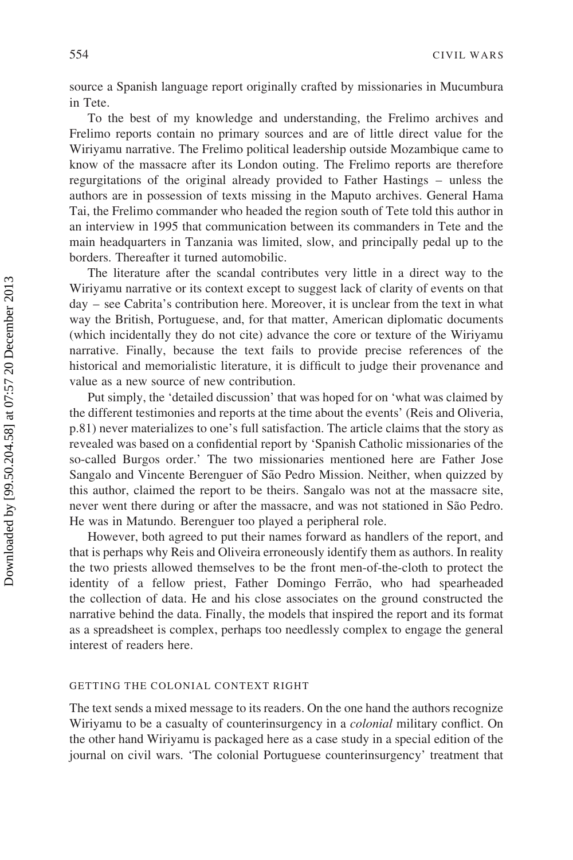source a Spanish language report originally crafted by missionaries in Mucumbura in Tete.

To the best of my knowledge and understanding, the Frelimo archives and Frelimo reports contain no primary sources and are of little direct value for the Wiriyamu narrative. The Frelimo political leadership outside Mozambique came to know of the massacre after its London outing. The Frelimo reports are therefore regurgitations of the original already provided to Father Hastings – unless the authors are in possession of texts missing in the Maputo archives. General Hama Tai, the Frelimo commander who headed the region south of Tete told this author in an interview in 1995 that communication between its commanders in Tete and the main headquarters in Tanzania was limited, slow, and principally pedal up to the borders. Thereafter it turned automobilic.

The literature after the scandal contributes very little in a direct way to the Wiriyamu narrative or its context except to suggest lack of clarity of events on that day – see Cabrita's contribution here. Moreover, it is unclear from the text in what way the British, Portuguese, and, for that matter, American diplomatic documents (which incidentally they do not cite) advance the core or texture of the Wiriyamu narrative. Finally, because the text fails to provide precise references of the historical and memorialistic literature, it is difficult to judge their provenance and value as a new source of new contribution.

Put simply, the 'detailed discussion' that was hoped for on 'what was claimed by the different testimonies and reports at the time about the events' (Reis and Oliveria, p.81) never materializes to one's full satisfaction. The article claims that the story as revealed was based on a confidential report by 'Spanish Catholic missionaries of the so-called Burgos order.' The two missionaries mentioned here are Father Jose Sangalo and Vincente Berenguer of São Pedro Mission. Neither, when quizzed by this author, claimed the report to be theirs. Sangalo was not at the massacre site, never went there during or after the massacre, and was not stationed in São Pedro. He was in Matundo. Berenguer too played a peripheral role.

However, both agreed to put their names forward as handlers of the report, and that is perhaps why Reis and Oliveira erroneously identify them as authors. In reality the two priests allowed themselves to be the front men-of-the-cloth to protect the identity of a fellow priest, Father Domingo Ferrão, who had spearheaded the collection of data. He and his close associates on the ground constructed the narrative behind the data. Finally, the models that inspired the report and its format as a spreadsheet is complex, perhaps too needlessly complex to engage the general interest of readers here.

#### GETTING THE COLONIAL CONTEXT RIGHT

The text sends a mixed message to its readers. On the one hand the authors recognize Wiriyamu to be a casualty of counterinsurgency in a colonial military conflict. On the other hand Wiriyamu is packaged here as a case study in a special edition of the journal on civil wars. 'The colonial Portuguese counterinsurgency' treatment that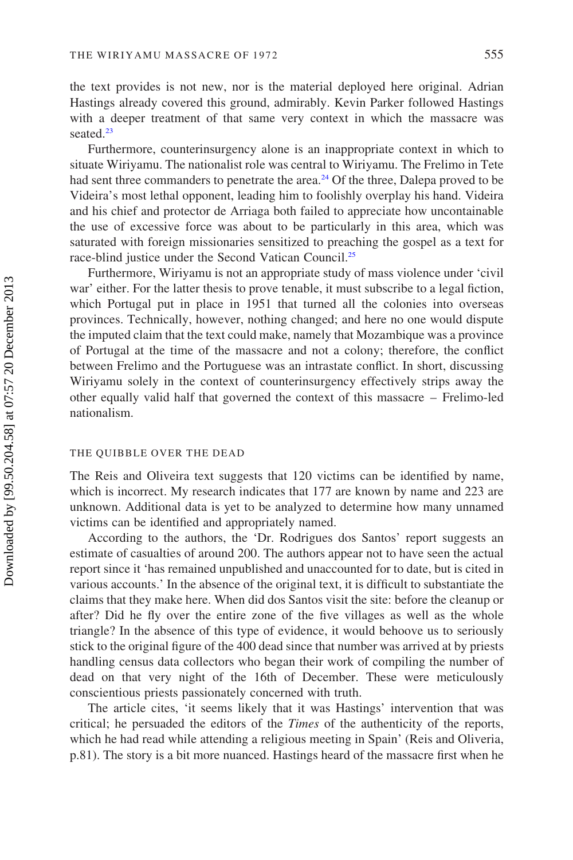the text provides is not new, nor is the material deployed here original. Adrian Hastings already covered this ground, admirably. Kevin Parker followed Hastings with a deeper treatment of that same very context in which the massacre was seated.<sup>23</sup>

Furthermore, counterinsurgency alone is an inappropriate context in which to situate Wiriyamu. The nationalist role was central to Wiriyamu. The Frelimo in Tete had sent three commanders to penetrate the area. $24$  [Of the three, Dalepa proved to be](#page-9-15) [Videira's most lethal opponent, leading him to foolishly overplay his hand. Videira](#page-9-15) [and his chief and protector de Arriaga both failed to appreciate how uncontainable](#page-9-15) [the use of excessive force was about to be particularly in this area, which was](#page-9-15) [saturated with foreign missionaries sensitized to preaching the gospel as a text for](#page-9-15) [race-blind justice under the Second Vatican Council.](#page-9-15)[25](#page-9-16)

Furthermore, Wiriyamu is not an appropriate study of mass violence under 'civil war' either. For the latter thesis to prove tenable, it must subscribe to a legal fiction, which Portugal put in place in 1951 that turned all the colonies into overseas provinces. Technically, however, nothing changed; and here no one would dispute the imputed claim that the text could make, namely that Mozambique was a province of Portugal at the time of the massacre and not a colony; therefore, the conflict between Frelimo and the Portuguese was an intrastate conflict. In short, discussing Wiriyamu solely in the context of counterinsurgency effectively strips away the other equally valid half that governed the context of this massacre – Frelimo-led nationalism.

#### THE QUIBBLE OVER THE DEAD

The Reis and Oliveira text suggests that 120 victims can be identified by name, which is incorrect. My research indicates that 177 are known by name and 223 are unknown. Additional data is yet to be analyzed to determine how many unnamed victims can be identified and appropriately named.

According to the authors, the 'Dr. Rodrigues dos Santos' report suggests an estimate of casualties of around 200. The authors appear not to have seen the actual report since it 'has remained unpublished and unaccounted for to date, but is cited in various accounts.' In the absence of the original text, it is difficult to substantiate the claims that they make here. When did dos Santos visit the site: before the cleanup or after? Did he fly over the entire zone of the five villages as well as the whole triangle? In the absence of this type of evidence, it would behoove us to seriously stick to the original figure of the 400 dead since that number was arrived at by priests handling census data collectors who began their work of compiling the number of dead on that very night of the 16th of December. These were meticulously conscientious priests passionately concerned with truth.

The article cites, 'it seems likely that it was Hastings' intervention that was critical; he persuaded the editors of the Times of the authenticity of the reports, which he had read while attending a religious meeting in Spain' (Reis and Oliveria, p.81). The story is a bit more nuanced. Hastings heard of the massacre first when he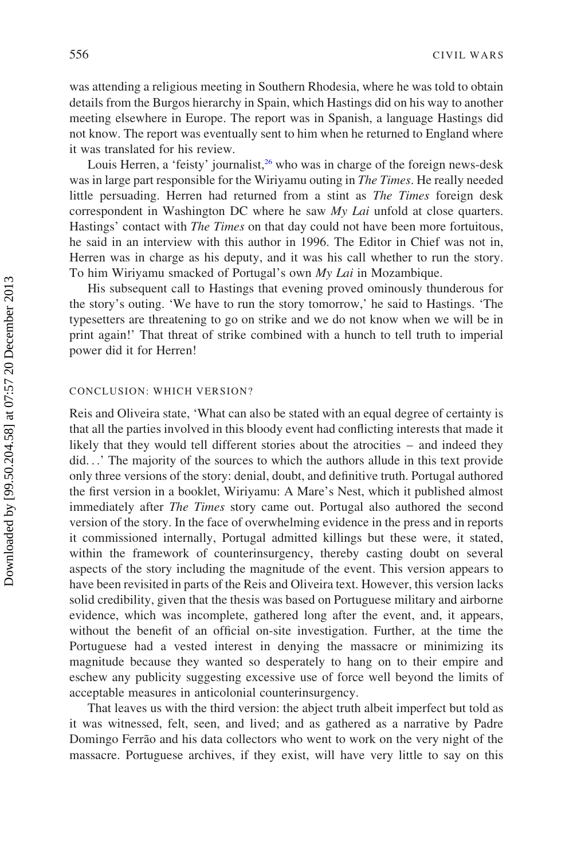was attending a religious meeting in Southern Rhodesia, where he was told to obtain details from the Burgos hierarchy in Spain, which Hastings did on his way to another meeting elsewhere in Europe. The report was in Spanish, a language Hastings did not know. The report was eventually sent to him when he returned to England where it was translated for his review.

Louis Herren, a 'feisty' journalist, $26$  [who was in charge of the foreign news-desk](#page-9-17) [was in large part responsible for the Wiriyamu outing in](#page-9-17) The Times. He really needed [little persuading. Herren had returned from a stint as](#page-9-17) The Times foreign desk [correspondent in Washington DC where he saw](#page-9-17) My Lai unfold at close quarters. Hastings' contact with *The Times* [on that day could not have been more fortuitous,](#page-9-17) [he said in an interview with this author in 1996. The Editor in Chief was not in,](#page-9-17) [Herren was in charge as his deputy, and it was his call whether to run the story.](#page-9-17) [To him Wiriyamu smacked of Portugal's own](#page-9-17) My Lai in Mozambique.

His subsequent call to Hastings that evening proved ominously thunderous for the story's outing. 'We have to run the story tomorrow,' he said to Hastings. 'The typesetters are threatening to go on strike and we do not know when we will be in print again!' That threat of strike combined with a hunch to tell truth to imperial power did it for Herren!

#### CONCLUSION: WHICH VERSION?

Reis and Oliveira state, 'What can also be stated with an equal degree of certainty is that all the parties involved in this bloody event had conflicting interests that made it likely that they would tell different stories about the atrocities – and indeed they did...' The majority of the sources to which the authors allude in this text provide only three versions of the story: denial, doubt, and definitive truth. Portugal authored the first version in a booklet, Wiriyamu: A Mare's Nest, which it published almost immediately after The Times story came out. Portugal also authored the second version of the story. In the face of overwhelming evidence in the press and in reports it commissioned internally, Portugal admitted killings but these were, it stated, within the framework of counterinsurgency, thereby casting doubt on several aspects of the story including the magnitude of the event. This version appears to have been revisited in parts of the Reis and Oliveira text. However, this version lacks solid credibility, given that the thesis was based on Portuguese military and airborne evidence, which was incomplete, gathered long after the event, and, it appears, without the benefit of an official on-site investigation. Further, at the time the Portuguese had a vested interest in denying the massacre or minimizing its magnitude because they wanted so desperately to hang on to their empire and eschew any publicity suggesting excessive use of force well beyond the limits of acceptable measures in anticolonial counterinsurgency.

That leaves us with the third version: the abject truth albeit imperfect but told as it was witnessed, felt, seen, and lived; and as gathered as a narrative by Padre Domingo Ferrão and his data collectors who went to work on the very night of the massacre. Portuguese archives, if they exist, will have very little to say on this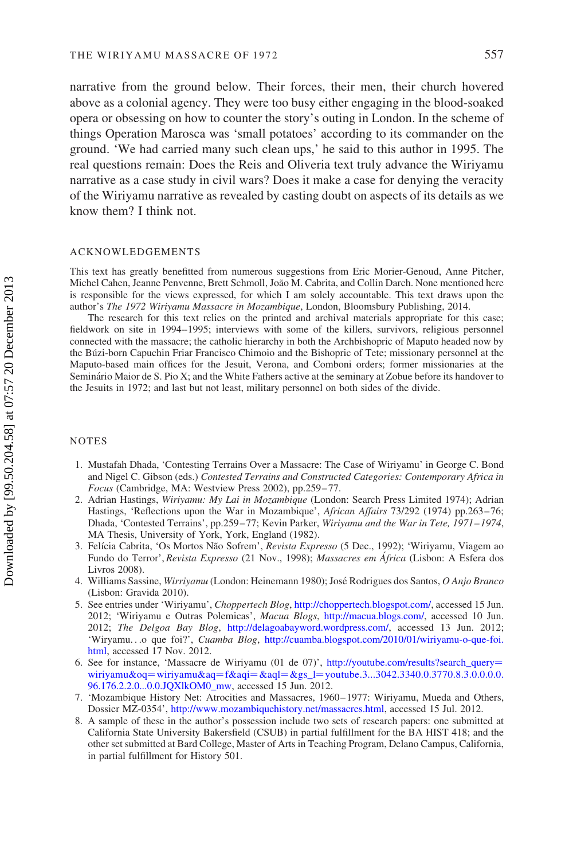narrative from the ground below. Their forces, their men, their church hovered above as a colonial agency. They were too busy either engaging in the blood-soaked opera or obsessing on how to counter the story's outing in London. In the scheme of things Operation Marosca was 'small potatoes' according to its commander on the ground. 'We had carried many such clean ups,' he said to this author in 1995. The real questions remain: Does the Reis and Oliveria text truly advance the Wiriyamu narrative as a case study in civil wars? Does it make a case for denying the veracity of the Wiriyamu narrative as revealed by casting doubt on aspects of its details as we know them? I think not.

#### ACKNOWLEDGEMENTS

This text has greatly benefitted from numerous suggestions from Eric Morier-Genoud, Anne Pitcher, Michel Cahen, Jeanne Penvenne, Brett Schmoll, João M. Cabrita, and Collin Darch. None mentioned here is responsible for the views expressed, for which I am solely accountable. This text draws upon the author's The 1972 Wiriyamu Massacre in Mozambique, London, Bloomsbury Publishing, 2014.

The research for this text relies on the printed and archival materials appropriate for this case; fieldwork on site in 1994--1995; interviews with some of the killers, survivors, religious personnel connected with the massacre; the catholic hierarchy in both the Archbishopric of Maputo headed now by the Bu´zi-born Capuchin Friar Francisco Chimoio and the Bishopric of Tete; missionary personnel at the Maputo-based main offices for the Jesuit, Verona, and Comboni orders; former missionaries at the Seminário Maior de S. Pio X; and the White Fathers active at the seminary at Zobue before its handover to the Jesuits in 1972; and last but not least, military personnel on both sides of the divide.

#### <span id="page-8-0"></span>NOTES

- 1. Mustafah Dhada, 'Contesting Terrains Over a Massacre: The Case of Wiriyamu' in George C. Bond and Nigel C. Gibson (eds.) Contested Terrains and Constructed Categories: Contemporary Africa in Focus (Cambridge, MA: Westview Press 2002), pp.259– 77.
- <span id="page-8-1"></span>2. Adrian Hastings, Wiriyamu: My Lai in Mozambique (London: Search Press Limited 1974); Adrian Hastings, 'Reflections upon the War in Mozambique', African Affairs 73/292 (1974) pp.263–76; Dhada, 'Contested Terrains', pp.259–77; Kevin Parker, Wiriyamu and the War in Tete, 1971–1974, MA Thesis, University of York, York, England (1982).
- <span id="page-8-2"></span>3. Felícia Cabrita, 'Os Mortos Não Sofrem', Revista Expresso (5 Dec., 1992); 'Wiriyamu, Viagem ao Fundo do Terror', Revista Expresso (21 Nov., 1998); Massacres em África (Lisbon: A Esfera dos Livros 2008).
- <span id="page-8-4"></span><span id="page-8-3"></span>4. Williams Sassine, Wirriyamu (London: Heinemann 1980); José Rodrigues dos Santos, O Anjo Branco (Lisbon: Gravida 2010).
- 5. See entries under 'Wiriyamu', Choppertech Blog, [http://choppertech.blogspot.com/,](http://choppertech.blogspot.com/) accessed 15 Jun. 2012; 'Wiriyamu e Outras Polemicas', Macua Blogs, <http://macua.blogs.com/>, accessed 10 Jun. 2012; The Delgoa Bay Blog, [http://delagoabayword.wordpress.com/,](http://delagoabayword.wordpress.com/) accessed 13 Jun. 2012; 'Wiryamu...o que foi?', Cuamba Blog, [http://cuamba.blogspot.com/2010/01/wiriyamu-o-que-foi.](http://cuamba.blogspot.com/2010/01/wiriyamu-o-que-foi.html) [html](http://cuamba.blogspot.com/2010/01/wiriyamu-o-que-foi.html), accessed 17 Nov. 2012.
- <span id="page-8-5"></span>6. See for instance, 'Massacre de Wiriyamu (01 de 07)', [http://youtube.com/results?search\\_query](http://youtube.com/results?search_query=wiriyamu&oq=wiriyamu&aq=f&aqi=&aql=&gs_l=youtube.3...3042.3340.0.3770.8.3.0.0.0.0.96.176.2.2.0...0.0.JQXlkOM0_mw)= [wiriyamu&oq](http://youtube.com/results?search_query=wiriyamu&oq=wiriyamu&aq=f&aqi=&aql=&gs_l=youtube.3...3042.3340.0.3770.8.3.0.0.0.0.96.176.2.2.0...0.0.JQXlkOM0_mw)=wiriyamu&aq=f&aqi=&aql=&gs\_l=[youtube.3...3042.3340.0.3770.8.3.0.0.0.0.](http://youtube.com/results?search_query=wiriyamu&oq=wiriyamu&aq=f&aqi=&aql=&gs_l=youtube.3...3042.3340.0.3770.8.3.0.0.0.0.96.176.2.2.0...0.0.JQXlkOM0_mw) [96.176.2.2.0...0.0.JQXlkOM0\\_mw,](http://youtube.com/results?search_query=wiriyamu&oq=wiriyamu&aq=f&aqi=&aql=&gs_l=youtube.3...3042.3340.0.3770.8.3.0.0.0.0.96.176.2.2.0...0.0.JQXlkOM0_mw) accessed 15 Jun. 2012.
- <span id="page-8-7"></span><span id="page-8-6"></span>7. 'Mozambique History Net: Atrocities and Massacres, 1960–1977: Wiriyamu, Mueda and Others, Dossier MZ-0354', <http://www.mozambiquehistory.net/massacres.html>, accessed 15 Jul. 2012.
- 8. A sample of these in the author's possession include two sets of research papers: one submitted at California State University Bakersfield (CSUB) in partial fulfillment for the BA HIST 418; and the other set submitted at Bard College, Master of Arts in Teaching Program, Delano Campus, California, in partial fulfillment for History 501.